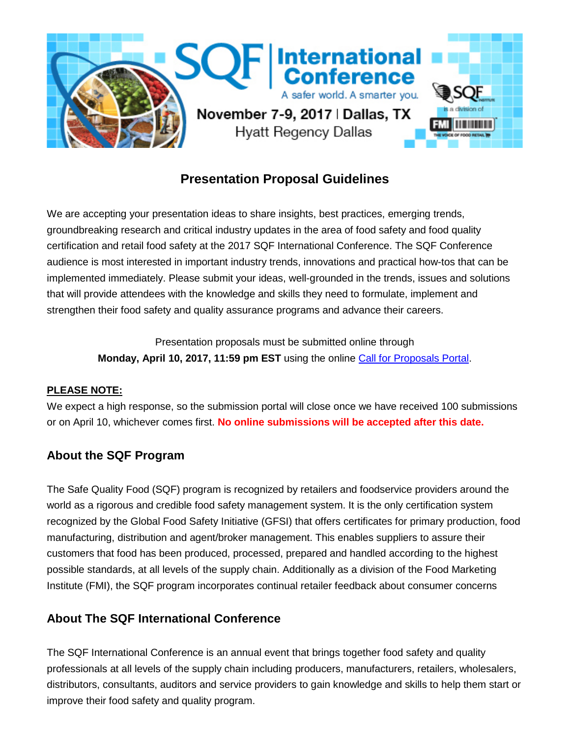

# **Presentation Proposal Guidelines**

We are accepting your presentation ideas to share insights, best practices, emerging trends, groundbreaking research and critical industry updates in the area of food safety and food quality certification and retail food safety at the 2017 SQF International Conference. The SQF Conference audience is most interested in important industry trends, innovations and practical how-tos that can be implemented immediately. Please submit your ideas, well-grounded in the trends, issues and solutions that will provide attendees with the knowledge and skills they need to formulate, implement and strengthen their food safety and quality assurance programs and advance their careers.

> Presentation proposals must be submitted online through **Monday, April 10, 2017, 11:59 pm EST** using the online [Call for Proposals Portal.](https://www.conferenceabstracts.com/cfp2/login.asp?EventKey=IPNFJBUQ)

## **PLEASE NOTE:**

We expect a high response, so the submission portal will close once we have received 100 submissions or on April 10, whichever comes first. **No online submissions will be accepted after this date.**

# **About the SQF Program**

The Safe Quality Food (SQF) program is recognized by retailers and foodservice providers around the world as a rigorous and credible food safety management system. It is the only certification system recognized by the Global Food Safety Initiative (GFSI) that offers certificates for primary production, food manufacturing, distribution and agent/broker management. This enables suppliers to assure their customers that food has been produced, processed, prepared and handled according to the highest possible standards, at all levels of the supply chain. Additionally as a division of the Food Marketing Institute (FMI), the SQF program incorporates continual retailer feedback about consumer concerns

# **About The SQF International Conference**

The SQF International Conference is an annual event that brings together food safety and quality professionals at all levels of the supply chain including producers, manufacturers, retailers, wholesalers, distributors, consultants, auditors and service providers to gain knowledge and skills to help them start or improve their food safety and quality program.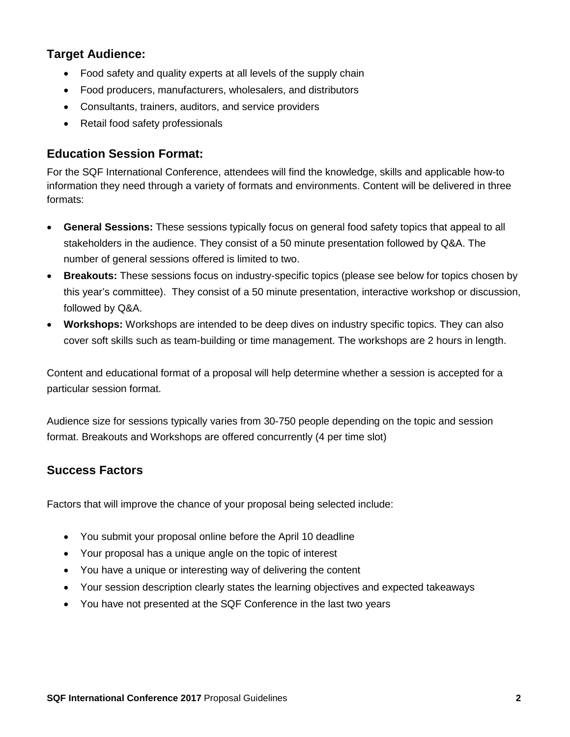## **Target Audience:**

- Food safety and quality experts at all levels of the supply chain
- Food producers, manufacturers, wholesalers, and distributors
- Consultants, trainers, auditors, and service providers
- Retail food safety professionals

# **Education Session Format:**

For the SQF International Conference, attendees will find the knowledge, skills and applicable how-to information they need through a variety of formats and environments. Content will be delivered in three formats:

- **General Sessions:** These sessions typically focus on general food safety topics that appeal to all stakeholders in the audience. They consist of a 50 minute presentation followed by Q&A. The number of general sessions offered is limited to two.
- **Breakouts:** These sessions focus on industry-specific topics (please see below for topics chosen by this year's committee). They consist of a 50 minute presentation, interactive workshop or discussion, followed by Q&A.
- **Workshops:** Workshops are intended to be deep dives on industry specific topics. They can also cover soft skills such as team-building or time management. The workshops are 2 hours in length.

Content and educational format of a proposal will help determine whether a session is accepted for a particular session format.

Audience size for sessions typically varies from 30-750 people depending on the topic and session format. Breakouts and Workshops are offered concurrently (4 per time slot)

# **Success Factors**

Factors that will improve the chance of your proposal being selected include:

- You submit your proposal online before the April 10 deadline
- Your proposal has a unique angle on the topic of interest
- You have a unique or interesting way of delivering the content
- Your session description clearly states the learning objectives and expected takeaways
- You have not presented at the SQF Conference in the last two years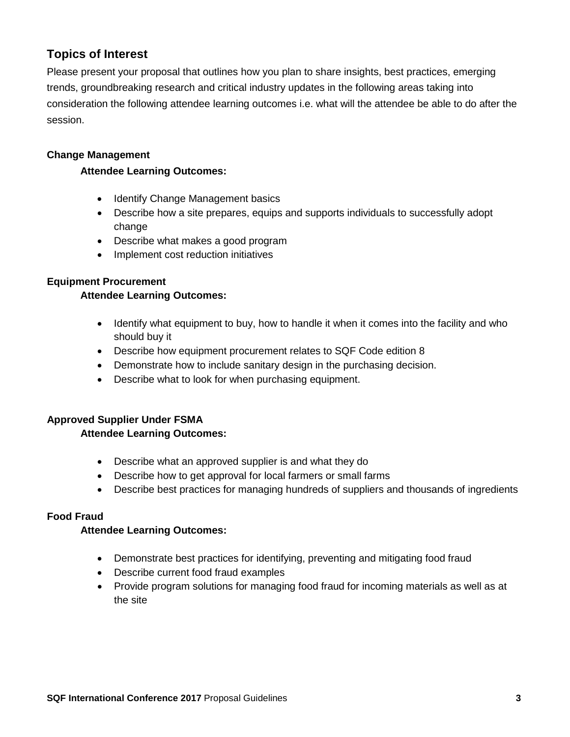# **Topics of Interest**

Please present your proposal that outlines how you plan to share insights, best practices, emerging trends, groundbreaking research and critical industry updates in the following areas taking into consideration the following attendee learning outcomes i.e. what will the attendee be able to do after the session.

## **Change Management**

#### **Attendee Learning Outcomes:**

- Identify Change Management basics
- Describe how a site prepares, equips and supports individuals to successfully adopt change
- Describe what makes a good program
- Implement cost reduction initiatives

#### **Equipment Procurement**

#### **Attendee Learning Outcomes:**

- Identify what equipment to buy, how to handle it when it comes into the facility and who should buy it
- Describe how equipment procurement relates to SQF Code edition 8
- Demonstrate how to include sanitary design in the purchasing decision.
- Describe what to look for when purchasing equipment.

## **Approved Supplier Under FSMA**

#### **Attendee Learning Outcomes:**

- Describe what an approved supplier is and what they do
- Describe how to get approval for local farmers or small farms
- Describe best practices for managing hundreds of suppliers and thousands of ingredients

## **Food Fraud**

#### **Attendee Learning Outcomes:**

- Demonstrate best practices for identifying, preventing and mitigating food fraud
- Describe current food fraud examples
- Provide program solutions for managing food fraud for incoming materials as well as at the site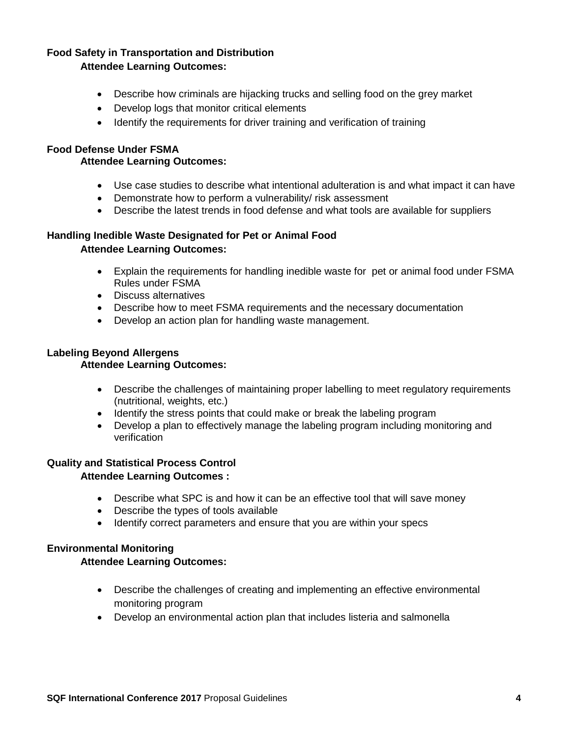#### **Food Safety in Transportation and Distribution Attendee Learning Outcomes:**

- Describe how criminals are hijacking trucks and selling food on the grey market
- Develop logs that monitor critical elements
- Identify the requirements for driver training and verification of training

#### **Food Defense Under FSMA**

#### **Attendee Learning Outcomes:**

- Use case studies to describe what intentional adulteration is and what impact it can have
- Demonstrate how to perform a vulnerability/ risk assessment
- Describe the latest trends in food defense and what tools are available for suppliers

## **Handling Inedible Waste Designated for Pet or Animal Food Attendee Learning Outcomes:**

- Explain the requirements for handling inedible waste for pet or animal food under FSMA Rules under FSMA
- Discuss alternatives
- Describe how to meet FSMA requirements and the necessary documentation
- Develop an action plan for handling waste management.

# **Labeling Beyond Allergens**

## **Attendee Learning Outcomes:**

- Describe the challenges of maintaining proper labelling to meet regulatory requirements (nutritional, weights, etc.)
- Identify the stress points that could make or break the labeling program
- Develop a plan to effectively manage the labeling program including monitoring and verification

## **Quality and Statistical Process Control**

#### **Attendee Learning Outcomes :**

- Describe what SPC is and how it can be an effective tool that will save money
- Describe the types of tools available
- Identify correct parameters and ensure that you are within your specs

## **Environmental Monitoring**

#### **Attendee Learning Outcomes:**

- Describe the challenges of creating and implementing an effective environmental monitoring program
- Develop an environmental action plan that includes listeria and salmonella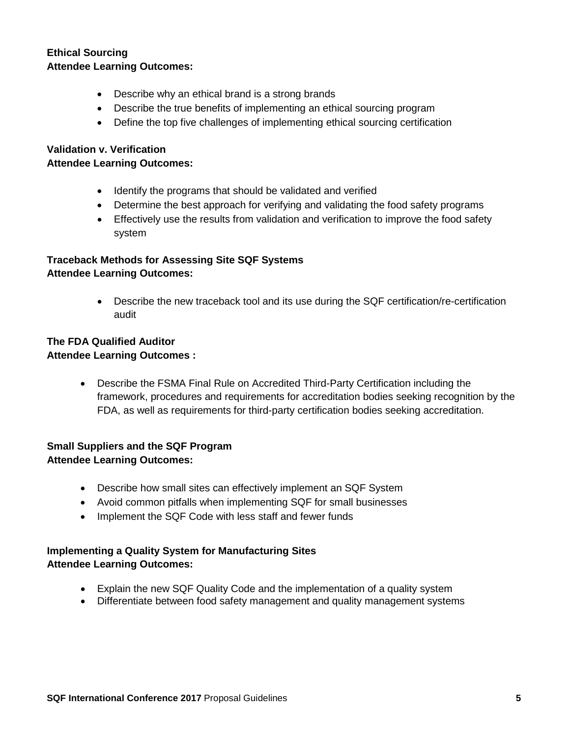## **Ethical Sourcing Attendee Learning Outcomes:**

- Describe why an ethical brand is a strong brands
- Describe the true benefits of implementing an ethical sourcing program
- Define the top five challenges of implementing ethical sourcing certification

## **Validation v. Verification**

#### **Attendee Learning Outcomes:**

- Identify the programs that should be validated and verified
- Determine the best approach for verifying and validating the food safety programs
- Effectively use the results from validation and verification to improve the food safety system

## **Traceback Methods for Assessing Site SQF Systems Attendee Learning Outcomes:**

• Describe the new traceback tool and its use during the SQF certification/re-certification audit

## **The FDA Qualified Auditor Attendee Learning Outcomes :**

• Describe the FSMA Final Rule on Accredited Third-Party Certification including the framework, procedures and requirements for accreditation bodies seeking recognition by the FDA, as well as requirements for third-party certification bodies seeking accreditation.

## **Small Suppliers and the SQF Program Attendee Learning Outcomes:**

- Describe how small sites can effectively implement an SQF System
- Avoid common pitfalls when implementing SQF for small businesses
- Implement the SQF Code with less staff and fewer funds

## **Implementing a Quality System for Manufacturing Sites Attendee Learning Outcomes:**

- Explain the new SQF Quality Code and the implementation of a quality system
- Differentiate between food safety management and quality management systems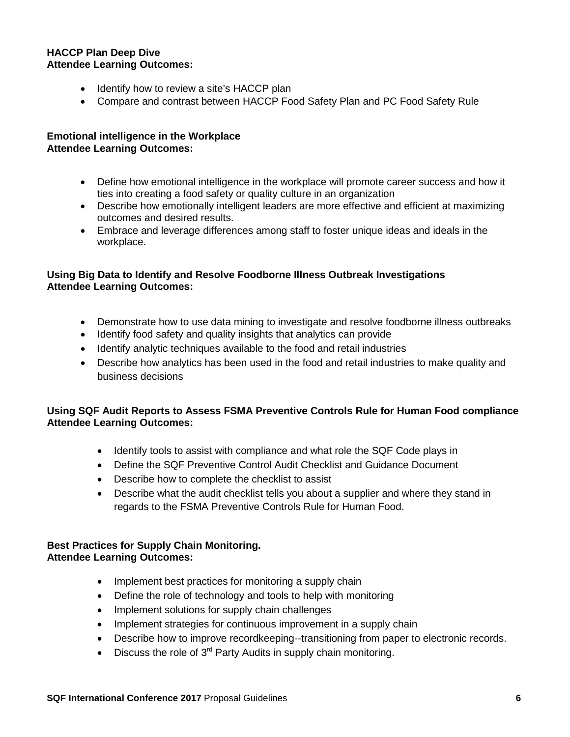#### **HACCP Plan Deep Dive Attendee Learning Outcomes:**

- Identify how to review a site's HACCP plan
- Compare and contrast between HACCP Food Safety Plan and PC Food Safety Rule

## **Emotional intelligence in the Workplace Attendee Learning Outcomes:**

- Define how emotional intelligence in the workplace will promote career success and how it ties into creating a food safety or quality culture in an organization
- Describe how emotionally intelligent leaders are more effective and efficient at maximizing outcomes and desired results.
- Embrace and leverage differences among staff to foster unique ideas and ideals in the workplace.

## **Using Big Data to Identify and Resolve Foodborne Illness Outbreak Investigations Attendee Learning Outcomes:**

- Demonstrate how to use data mining to investigate and resolve foodborne illness outbreaks
- Identify food safety and quality insights that analytics can provide
- Identify analytic techniques available to the food and retail industries
- Describe how analytics has been used in the food and retail industries to make quality and business decisions

## **Using SQF Audit Reports to Assess FSMA Preventive Controls Rule for Human Food compliance Attendee Learning Outcomes:**

- Identify tools to assist with compliance and what role the SQF Code plays in
- Define the SQF Preventive Control Audit Checklist and Guidance Document
- Describe how to complete the checklist to assist
- Describe what the audit checklist tells you about a supplier and where they stand in regards to the FSMA Preventive Controls Rule for Human Food.

#### **Best Practices for Supply Chain Monitoring. Attendee Learning Outcomes:**

- Implement best practices for monitoring a supply chain
- Define the role of technology and tools to help with monitoring
- Implement solutions for supply chain challenges
- Implement strategies for continuous improvement in a supply chain
- Describe how to improve recordkeeping--transitioning from paper to electronic records.
- Discuss the role of  $3<sup>rd</sup>$  Party Audits in supply chain monitoring.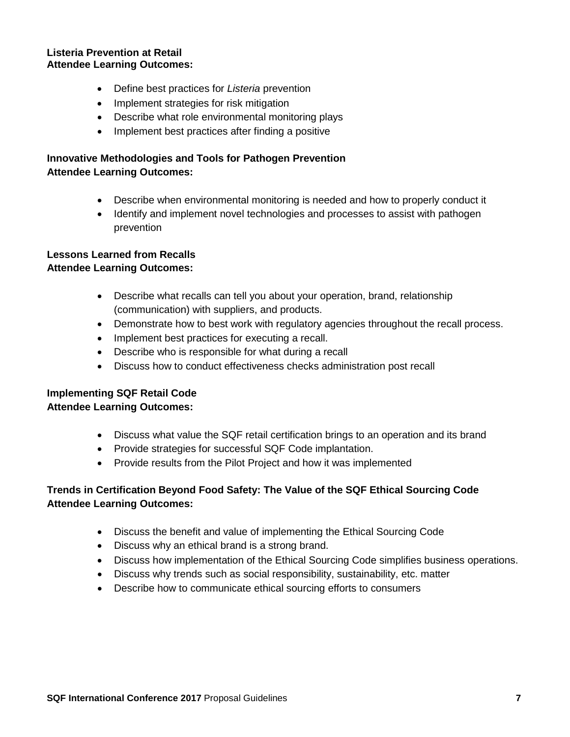#### **Listeria Prevention at Retail Attendee Learning Outcomes:**

- Define best practices for *Listeria* prevention
- Implement strategies for risk mitigation
- Describe what role environmental monitoring plays
- Implement best practices after finding a positive

## **Innovative Methodologies and Tools for Pathogen Prevention Attendee Learning Outcomes:**

- Describe when environmental monitoring is needed and how to properly conduct it
- Identify and implement novel technologies and processes to assist with pathogen prevention

# **Lessons Learned from Recalls**

## **Attendee Learning Outcomes:**

- Describe what recalls can tell you about your operation, brand, relationship (communication) with suppliers, and products.
- Demonstrate how to best work with regulatory agencies throughout the recall process.
- Implement best practices for executing a recall.
- Describe who is responsible for what during a recall
- Discuss how to conduct effectiveness checks administration post recall

## **Implementing SQF Retail Code**

## **Attendee Learning Outcomes:**

- Discuss what value the SQF retail certification brings to an operation and its brand
- Provide strategies for successful SQF Code implantation.
- Provide results from the Pilot Project and how it was implemented

## **Trends in Certification Beyond Food Safety: The Value of the SQF Ethical Sourcing Code Attendee Learning Outcomes:**

- Discuss the benefit and value of implementing the Ethical Sourcing Code
- Discuss why an ethical brand is a strong brand.
- Discuss how implementation of the Ethical Sourcing Code simplifies business operations.
- Discuss why trends such as social responsibility, sustainability, etc. matter
- Describe how to communicate ethical sourcing efforts to consumers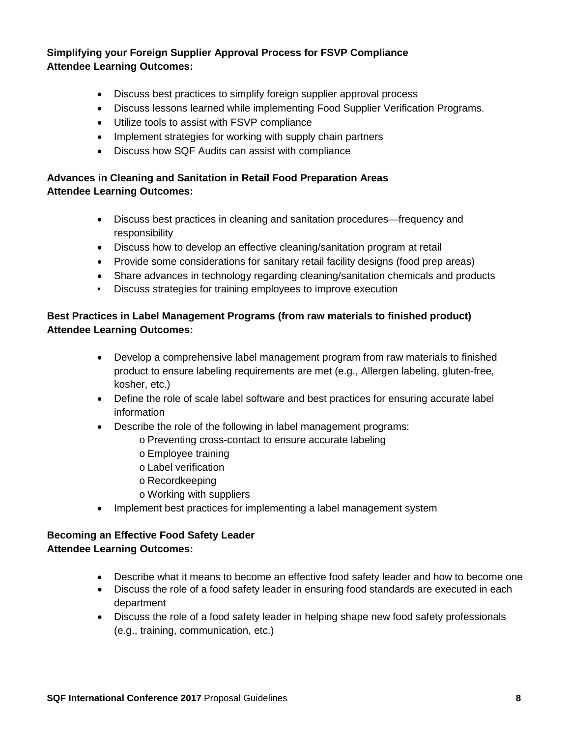## **Simplifying your Foreign Supplier Approval Process for FSVP Compliance Attendee Learning Outcomes:**

- Discuss best practices to simplify foreign supplier approval process
- Discuss lessons learned while implementing Food Supplier Verification Programs.
- Utilize tools to assist with FSVP compliance
- Implement strategies for working with supply chain partners
- Discuss how SQF Audits can assist with compliance

## **Advances in Cleaning and Sanitation in Retail Food Preparation Areas Attendee Learning Outcomes:**

- Discuss best practices in cleaning and sanitation procedures—frequency and responsibility
- Discuss how to develop an effective cleaning/sanitation program at retail
- Provide some considerations for sanitary retail facility designs (food prep areas)
- Share advances in technology regarding cleaning/sanitation chemicals and products
- Discuss strategies for training employees to improve execution

## **Best Practices in Label Management Programs (from raw materials to finished product) Attendee Learning Outcomes:**

- Develop a comprehensive label management program from raw materials to finished product to ensure labeling requirements are met (e.g., Allergen labeling, gluten-free, kosher, etc.)
- Define the role of scale label software and best practices for ensuring accurate label information
- Describe the role of the following in label management programs:
	- o Preventing cross-contact to ensure accurate labeling
	- o Employee training
	- o Label verification
	- o Recordkeeping
	- o Working with suppliers
- Implement best practices for implementing a label management system

## **Becoming an Effective Food Safety Leader Attendee Learning Outcomes:**

- Describe what it means to become an effective food safety leader and how to become one
- Discuss the role of a food safety leader in ensuring food standards are executed in each department
- Discuss the role of a food safety leader in helping shape new food safety professionals (e.g., training, communication, etc.)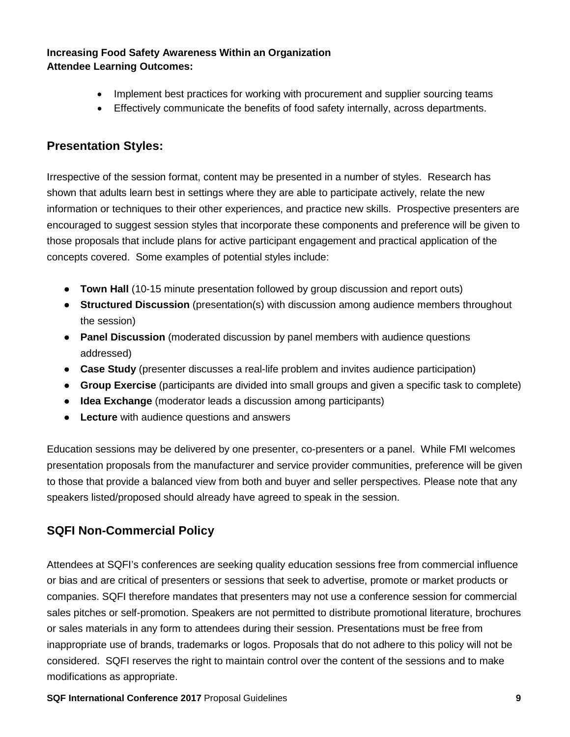## **Increasing Food Safety Awareness Within an Organization Attendee Learning Outcomes:**

- Implement best practices for working with procurement and supplier sourcing teams
- Effectively communicate the benefits of food safety internally, across departments.

## **Presentation Styles:**

Irrespective of the session format, content may be presented in a number of styles. Research has shown that adults learn best in settings where they are able to participate actively, relate the new information or techniques to their other experiences, and practice new skills. Prospective presenters are encouraged to suggest session styles that incorporate these components and preference will be given to those proposals that include plans for active participant engagement and practical application of the concepts covered. Some examples of potential styles include:

- **Town Hall** (10-15 minute presentation followed by group discussion and report outs)
- **Structured Discussion** (presentation(s) with discussion among audience members throughout the session)
- **Panel Discussion** (moderated discussion by panel members with audience questions addressed)
- **Case Study** (presenter discusses a real-life problem and invites audience participation)
- **Group Exercise** (participants are divided into small groups and given a specific task to complete)
- **Idea Exchange** (moderator leads a discussion among participants)
- **Lecture** with audience questions and answers

Education sessions may be delivered by one presenter, co-presenters or a panel. While FMI welcomes presentation proposals from the manufacturer and service provider communities, preference will be given to those that provide a balanced view from both and buyer and seller perspectives. Please note that any speakers listed/proposed should already have agreed to speak in the session.

# **SQFI Non-Commercial Policy**

Attendees at SQFI's conferences are seeking quality education sessions free from commercial influence or bias and are critical of presenters or sessions that seek to advertise, promote or market products or companies. SQFI therefore mandates that presenters may not use a conference session for commercial sales pitches or self-promotion. Speakers are not permitted to distribute promotional literature, brochures or sales materials in any form to attendees during their session. Presentations must be free from inappropriate use of brands, trademarks or logos. Proposals that do not adhere to this policy will not be considered. SQFI reserves the right to maintain control over the content of the sessions and to make modifications as appropriate.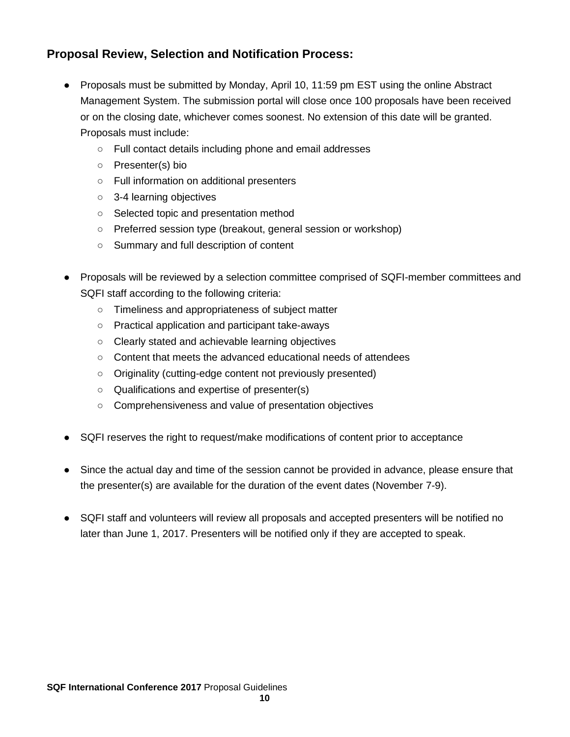# **Proposal Review, Selection and Notification Process:**

- Proposals must be submitted by Monday, April 10, 11:59 pm EST using the online Abstract Management System. The submission portal will close once 100 proposals have been received or on the closing date, whichever comes soonest. No extension of this date will be granted. Proposals must include:
	- Full contact details including phone and email addresses
	- Presenter(s) bio
	- Full information on additional presenters
	- 3-4 learning objectives
	- Selected topic and presentation method
	- Preferred session type (breakout, general session or workshop)
	- Summary and full description of content
- Proposals will be reviewed by a selection committee comprised of SQFI-member committees and SQFI staff according to the following criteria:
	- Timeliness and appropriateness of subject matter
	- Practical application and participant take-aways
	- Clearly stated and achievable learning objectives
	- Content that meets the advanced educational needs of attendees
	- Originality (cutting-edge content not previously presented)
	- Qualifications and expertise of presenter(s)
	- Comprehensiveness and value of presentation objectives
- SQFI reserves the right to request/make modifications of content prior to acceptance
- Since the actual day and time of the session cannot be provided in advance, please ensure that the presenter(s) are available for the duration of the event dates (November 7-9).
- SQFI staff and volunteers will review all proposals and accepted presenters will be notified no later than June 1, 2017. Presenters will be notified only if they are accepted to speak.